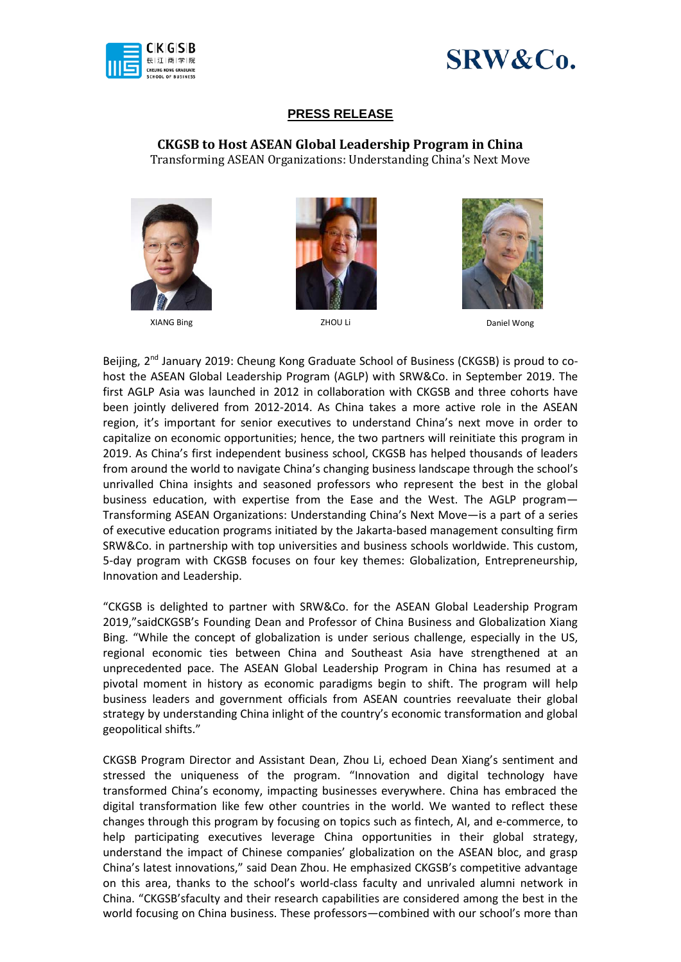



## **PRESS RELEASE**

**CKGSB to Host ASEAN Global Leadership Program in China** Transforming ASEAN Organizations: Understanding China's Next Move







XIANG Bing ZHOU Li Daniel Wong Daniel Wong Daniel Wong Daniel Wong Daniel Wong Daniel Wong Daniel Wong Daniel Wong Daniel Wong Daniel Wong Daniel Wong Daniel Wong Daniel Wong Daniel Wong Daniel Wong Daniel Wong Daniel Wong

Beijing, 2<sup>nd</sup> January 2019: Cheung Kong Graduate School of Business (CKGSB) is proud to cohost the ASEAN Global Leadership Program (AGLP) with SRW&Co. in September 2019. The first AGLP Asia was launched in 2012 in collaboration with CKGSB and three cohorts have been jointly delivered from 2012-2014. As China takes a more active role in the ASEAN region, it's important for senior executives to understand China's next move in order to capitalize on economic opportunities; hence, the two partners will reinitiate this program in 2019. As China's first independent business school, CKGSB has helped thousands of leaders from around the world to navigate China's changing business landscape through the school's unrivalled China insights and seasoned professors who represent the best in the global business education, with expertise from the Ease and the West. The AGLP program— Transforming ASEAN Organizations: Understanding China's Next Move—is a part of a series of executive education programs initiated by the Jakarta-based management consulting firm SRW&Co. in partnership with top universities and business schools worldwide. This custom, 5-day program with CKGSB focuses on four key themes: Globalization, Entrepreneurship, Innovation and Leadership.

"CKGSB is delighted to partner with SRW&Co. for the ASEAN Global Leadership Program 2019,"saidCKGSB's Founding Dean and Professor of China Business and Globalization Xiang Bing. "While the concept of globalization is under serious challenge, especially in the US, regional economic ties between China and Southeast Asia have strengthened at an unprecedented pace. The ASEAN Global Leadership Program in China has resumed at a pivotal moment in history as economic paradigms begin to shift. The program will help business leaders and government officials from ASEAN countries reevaluate their global strategy by understanding China inlight of the country's economic transformation and global geopolitical shifts."

CKGSB Program Director and Assistant Dean, Zhou Li, echoed Dean Xiang's sentiment and stressed the uniqueness of the program. "Innovation and digital technology have transformed China's economy, impacting businesses everywhere. China has embraced the digital transformation like few other countries in the world. We wanted to reflect these changes through this program by focusing on topics such as fintech, AI, and e-commerce, to help participating executives leverage China opportunities in their global strategy, understand the impact of Chinese companies' globalization on the ASEAN bloc, and grasp China's latest innovations," said Dean Zhou. He emphasized CKGSB's competitive advantage on this area, thanks to the school's world-class faculty and unrivaled alumni network in China. "CKGSB'sfaculty and their research capabilities are considered among the best in the world focusing on China business. These professors—combined with our school's more than